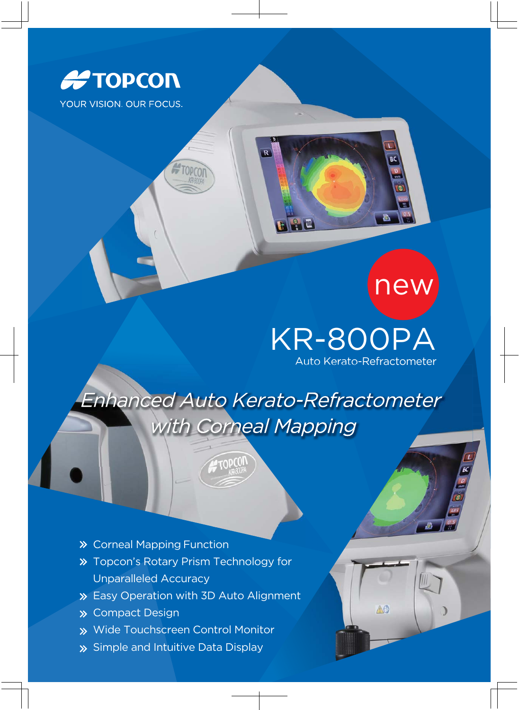

# new

## KR-800PA

Auto Kerato-Refractometer

AC

Enhanced Auto Kerato-Refractometer with Corneal Mapping

ropCO

 $\overline{R}$ 



**>>** Topcon's Rotary Prism Technology for Unparalleled Accuracy

**AFTOPCOT** 

- Easy Operation with 3D Auto Alignment
- **»** Compact Design
- Wide Touchscreen Control Monitor
- Simple and Intuitive Data Display